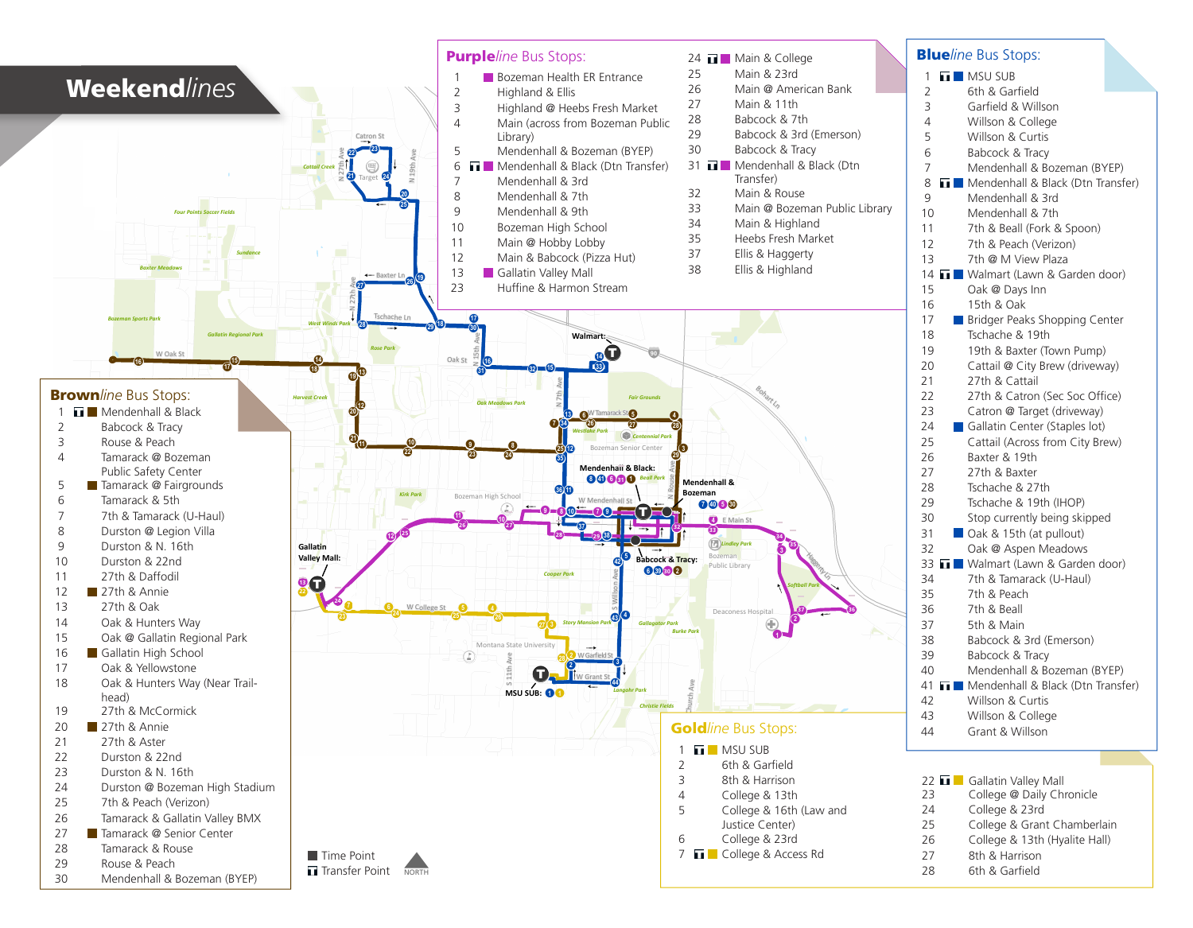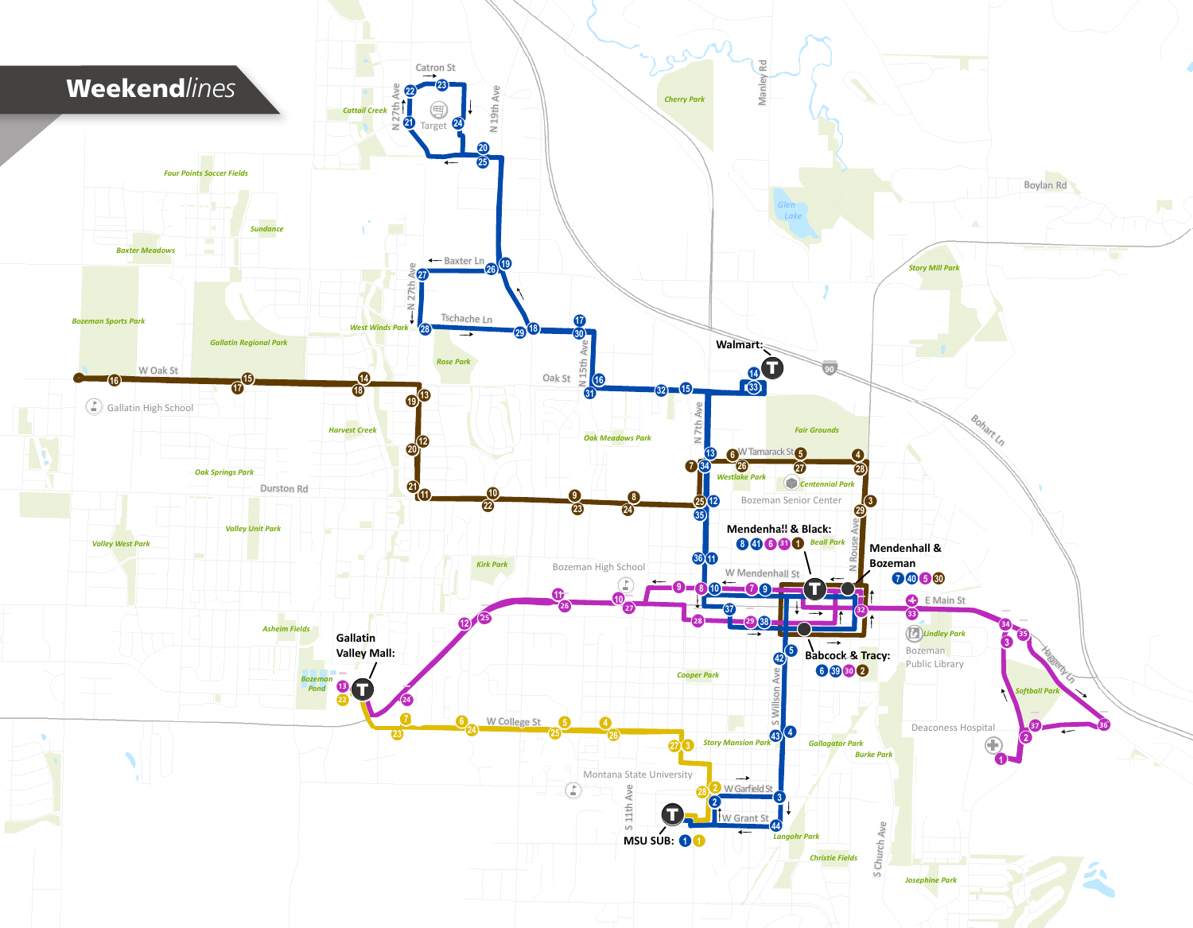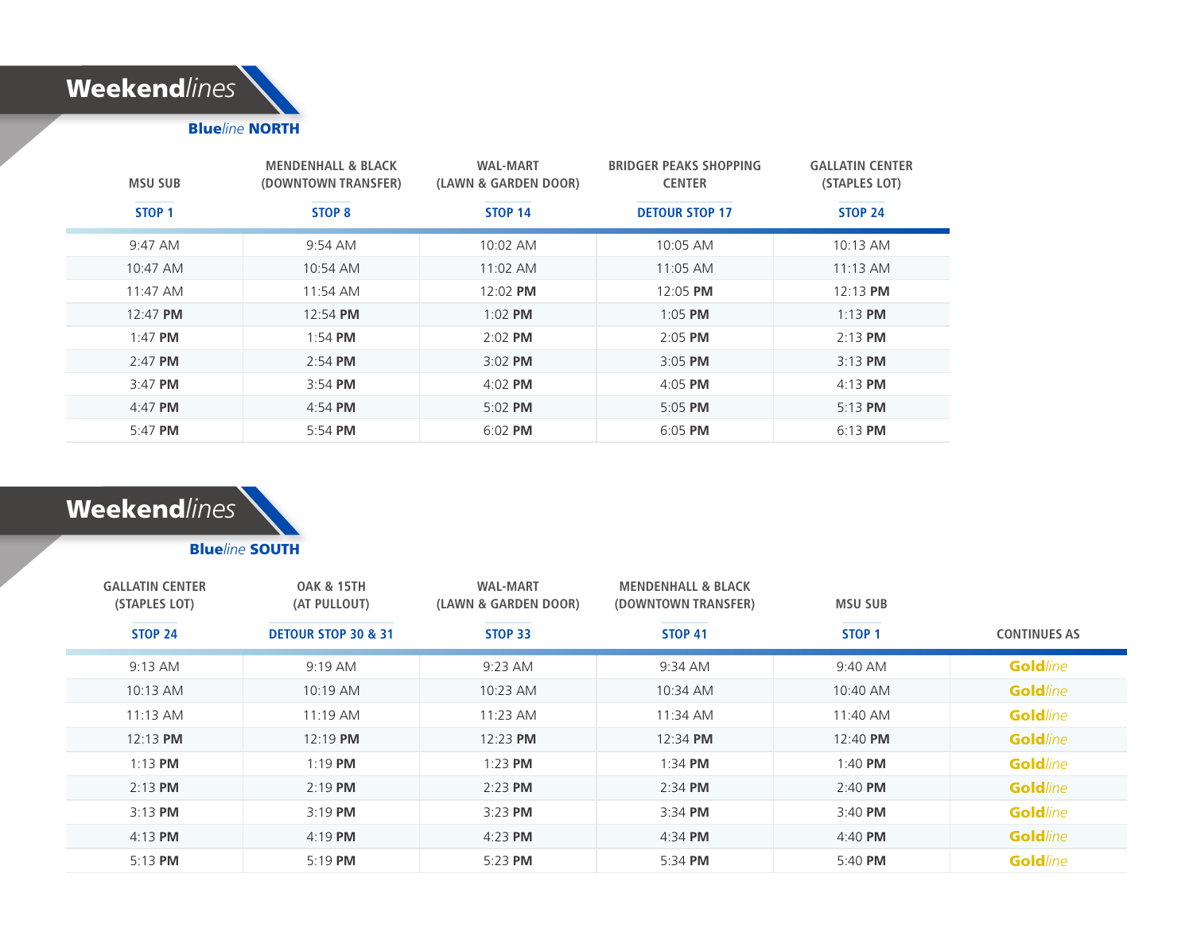

| <b>MSU SUB</b>    | <b>MENDENHALL &amp; BLACK</b><br>(DOWNTOWN TRANSFER) | <b>WAL-MART</b><br>(LAWN & GARDEN DOOR) | <b>BRIDGER PEAKS SHOPPING</b><br><b>CENTER</b> | <b>GALLATIN CENTER</b><br>(STAPLES LOT) |
|-------------------|------------------------------------------------------|-----------------------------------------|------------------------------------------------|-----------------------------------------|
| STOP <sub>1</sub> | STOP 8                                               | <b>STOP 14</b>                          | <b>DETOUR STOP 17</b>                          | <b>STOP 24</b>                          |
| 9:47 AM           | 9:54 AM                                              | 10:02 AM                                | 10:05 AM                                       | 10:13 AM                                |
| 10:47 AM          | 10:54 AM                                             | $11:02$ AM                              | 11:05 AM                                       | $11:13$ AM                              |
| $11:47$ AM        | 11:54 AM                                             | 12:02 PM                                | 12:05 PM                                       | $12:13$ PM                              |
| 12:47 PM          | 12:54 PM                                             | $1:02$ PM                               | $1:05$ PM                                      | $1:13$ PM                               |
| $1:47$ PM         | $1:54$ PM                                            | $2:02$ PM                               | $2:05$ PM                                      | $2:13$ PM                               |
| $2:47$ PM         | $2:54$ PM                                            | $3:02$ PM                               | $3:05$ PM                                      | $3:13$ PM                               |
| $3:47$ PM         | $3:54$ PM                                            | $4:02$ PM                               | $4:05$ PM                                      | $4:13$ PM                               |
| $4:47$ PM         | $4:54$ PM                                            | 5:02 PM                                 | $5:05$ PM                                      | $5:13$ PM                               |
| $5:47$ PM         | 5:54 PM                                              | $6:02$ PM                               | 6:05 PM                                        | $6:13$ PM                               |

# Weekend*lines*

### Blue*line* SOUTH

| <b>GALLATIN CENTER</b><br>(STAPLES LOT) | <b>OAK &amp; 15TH</b><br>(AT PULLOUT) | <b>WAL-MART</b><br>(LAWN & GARDEN DOOR) | <b>MENDENHALL &amp; BLACK</b><br>(DOWNTOWN TRANSFER) | <b>MSU SUB</b>    |                     |
|-----------------------------------------|---------------------------------------|-----------------------------------------|------------------------------------------------------|-------------------|---------------------|
| <b>STOP 24</b>                          | <b>DETOUR STOP 30 &amp; 31</b>        | STOP 33                                 | STOP 41                                              | STOP <sub>1</sub> | <b>CONTINUES AS</b> |
| $9:13$ AM                               | 9:19 AM                               | 9:23 AM                                 | 9:34 AM                                              | 9:40 AM           | <b>Goldline</b>     |
| 10:13 AM                                | $10:19$ AM                            | $10:23$ AM                              | 10:34 AM                                             | 10:40 AM          | <b>Goldline</b>     |
| $11:13$ AM                              | $11:19$ AM                            | $11:23$ AM                              | 11:34 AM                                             | 11:40 AM          | <b>Goldline</b>     |
| $12:13$ PM                              | $12:19$ PM                            | 12:23 PM                                | $12:34$ PM                                           | 12:40 PM          | <b>Goldline</b>     |
| $1:13$ PM                               | $1:19$ PM                             | $1:23$ PM                               | $1:34$ PM                                            | $1:40$ PM         | <b>Goldline</b>     |
| $2:13$ PM                               | $2:19$ PM                             | 2:23 PM                                 | $2:34$ PM                                            | $2:40$ PM         | <b>Goldline</b>     |
| $3:13$ PM                               | $3:19$ PM                             | 3:23 PM                                 | $3:34$ PM                                            | $3:40$ PM         | <b>Goldline</b>     |
| $4:13$ PM                               | $4:19$ PM                             | $4:23$ PM                               | $4:34$ PM                                            | $4:40$ PM         | <b>Goldline</b>     |
| $5:13$ PM                               | 5:19 PM                               | 5:23 PM                                 | 5:34 PM                                              | $5:40$ PM         | <b>Goldline</b>     |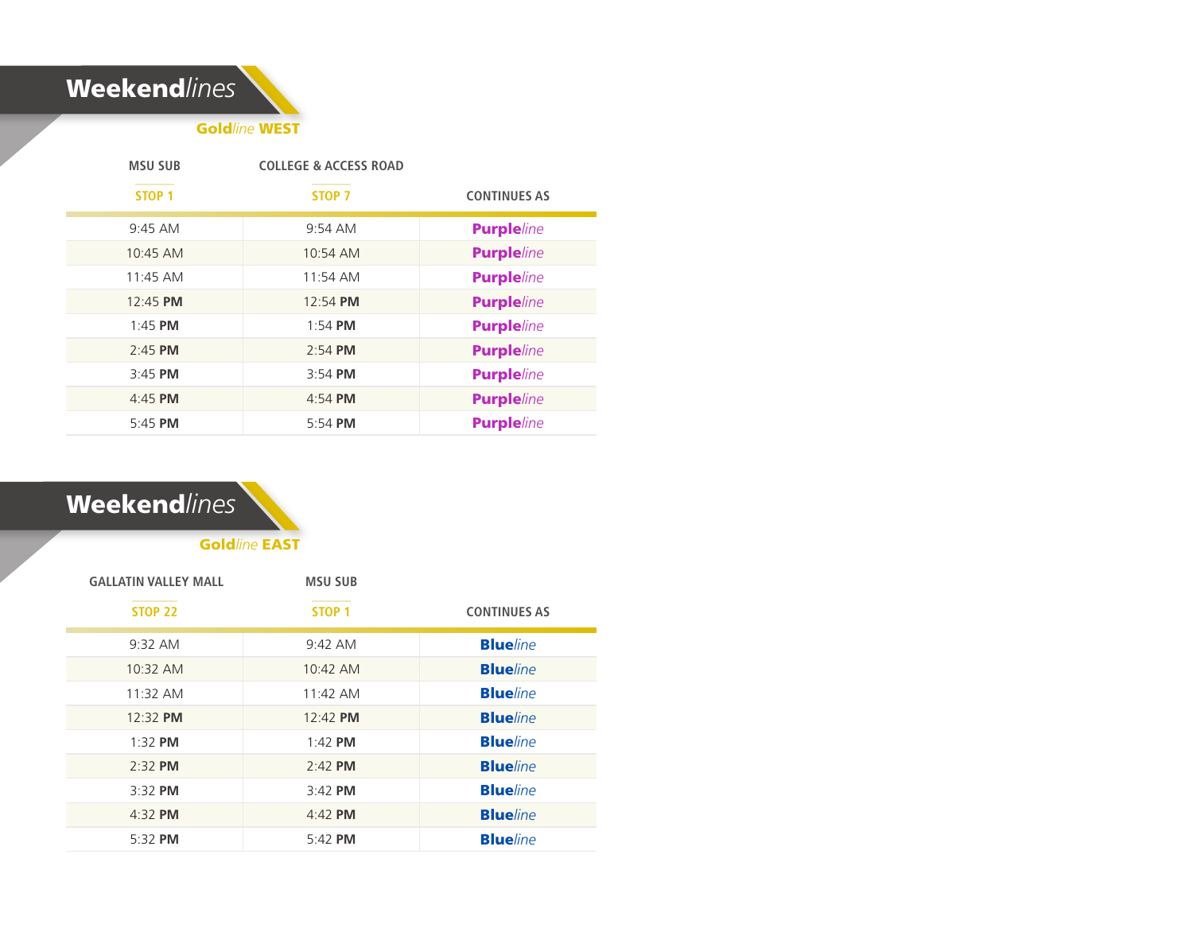

Gold*line* WEST

| <b>MSU SUB</b>    | <b>COLLEGE &amp; ACCESS ROAD</b> |                     |
|-------------------|----------------------------------|---------------------|
| STOP <sub>1</sub> | STOP <sub>7</sub>                | <b>CONTINUES AS</b> |
| $9:45$ AM         | 9:54 AM                          | <b>Purpleline</b>   |
| 10:45 AM          | 10:54 AM                         | <b>Purpleline</b>   |
| $11:45$ AM        | 11:54 AM                         | <b>Purpleline</b>   |
| 12:45 PM          | 12:54 PM                         | <b>Purpleline</b>   |
| $1:45$ PM         | $1:54$ PM                        | <b>Purpleline</b>   |
| 2:45 PM           | 2:54 PM                          | <b>Purpleline</b>   |
| $3:45$ PM         | $3:54$ PM                        | <b>Purpleline</b>   |
| 4:45 PM           | 4:54 PM                          | <b>Purple/ine</b>   |
| 5:45 PM           | 5:54 PM                          | <b>Purpleline</b>   |

## Weekend*lines*

Gold*line* EAST

| <b>GALLATIN VALLEY MALL</b> | <b>MSU SUB</b>    |                     |
|-----------------------------|-------------------|---------------------|
| <b>STOP 22</b>              | STOP <sub>1</sub> | <b>CONTINUES AS</b> |
| $9:32$ AM                   | $9:42 \text{ AM}$ | <b>Blue</b> line    |
| 10:32 AM                    | 10:42 AM          | <b>Blue</b> line    |
| 11:32 AM                    | 11:42 AM          | <b>Blueline</b>     |
| 12:32 PM                    | 12:42 PM          | <b>Blueline</b>     |
| $1:32$ PM                   | $1:42$ PM         | <b>Blue</b> line    |
| $2.32$ PM                   | $2.42$ PM         | <b>Blueline</b>     |
| $3:32$ PM                   | $3:42$ PM         | <b>Blueline</b>     |
| 4:32 PM                     | $4:42$ PM         | <b>Blueline</b>     |
| $5.32$ PM                   | $5.42$ PM         | <b>Blue</b> line    |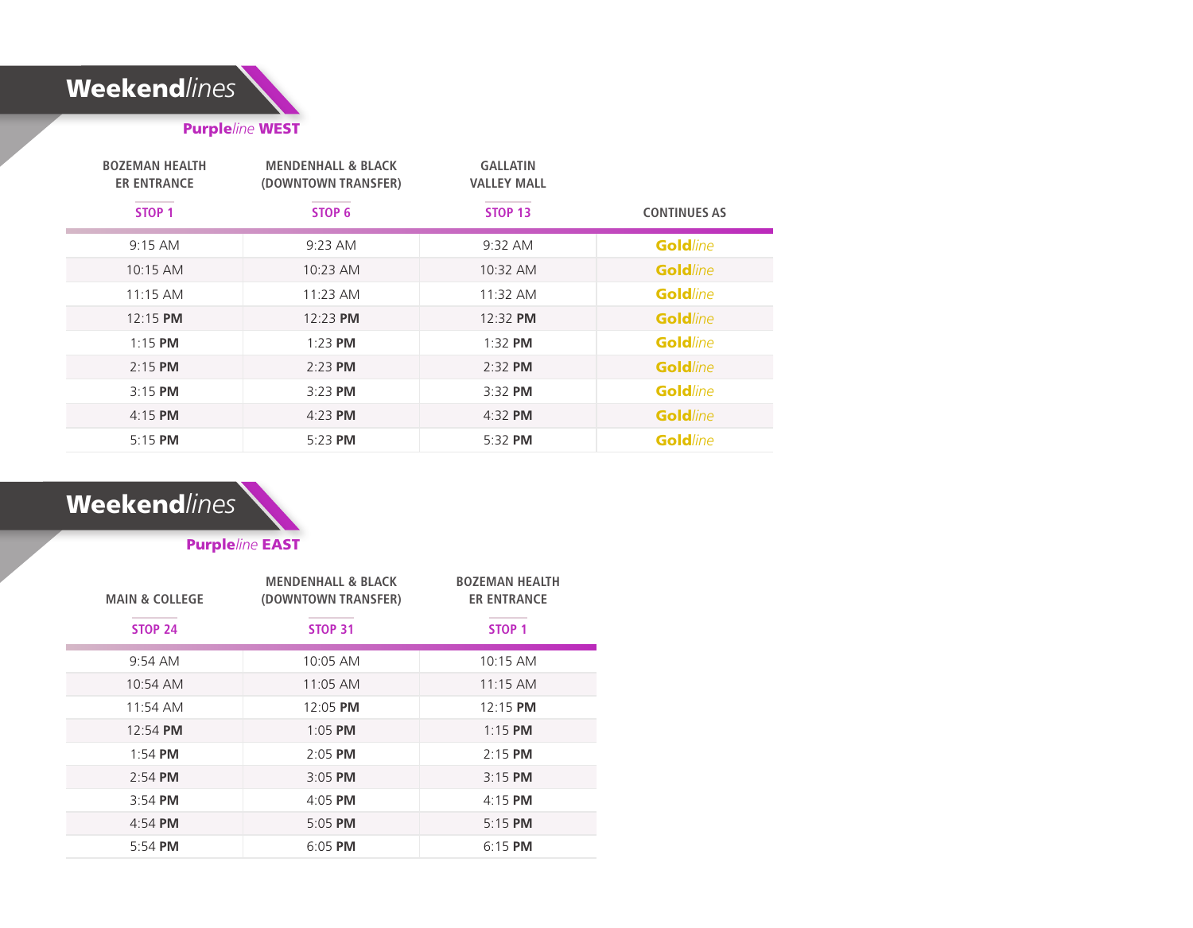

### Purple*line* WEST

| <b>BOZEMAN HEALTH</b><br><b>ER ENTRANCE</b> | <b>MENDENHALL &amp; BLACK</b><br>(DOWNTOWN TRANSFER) | <b>GALLATIN</b><br><b>VALLEY MALL</b> |                     |
|---------------------------------------------|------------------------------------------------------|---------------------------------------|---------------------|
| STOP <sub>1</sub>                           | STOP 6                                               | <b>STOP 13</b>                        | <b>CONTINUES AS</b> |
| $9:15$ AM                                   | 9:23 AM                                              | 9:32 AM                               | <b>Goldline</b>     |
| 10:15 AM                                    | 10:23 AM                                             | 10:32 AM                              | <b>Goldline</b>     |
| $11:15$ AM                                  | $11:23$ AM                                           | 11:32 AM                              | <b>Goldline</b>     |
| $12:15$ PM                                  | 12:23 PM                                             | 12:32 PM                              | <b>Goldline</b>     |
| $1:15$ PM                                   | $1:23$ PM                                            | $1:32$ PM                             | <b>Gold</b> line    |
| $2:15$ PM                                   | 2:23 PM                                              | $2:32$ PM                             | <b>Goldline</b>     |
| $3:15$ PM                                   | $3:23$ PM                                            | 3:32 PM                               | <b>Goldline</b>     |
| $4:15$ PM                                   | $4:23$ PM                                            | $4:32$ PM                             | <b>Goldline</b>     |
| $5:15$ PM                                   | 5:23 PM                                              | 5:32 PM                               | <b>Goldline</b>     |

## Weekend*lines*

Purple*line* EAST

| <b>MAIN &amp; COLLEGE</b> | <b>MENDENHALL &amp; BLACK</b><br>(DOWNTOWN TRANSFER) | <b>BOZEMAN HEALTH</b><br><b>ER ENTRANCE</b> |
|---------------------------|------------------------------------------------------|---------------------------------------------|
| <b>STOP 24</b>            | <b>STOP 31</b>                                       | STOP <sub>1</sub>                           |
| $9:54$ AM                 | $10:05$ AM                                           | $10:15$ AM                                  |
| $10:54$ AM                | $11:05$ AM                                           | $11:15$ AM                                  |
| $11:54$ AM                | $12:05$ PM                                           | $12:15$ PM                                  |
| $12:54$ PM                | $1:05$ PM                                            | $1:15$ PM                                   |
| $1:54$ PM                 | $2:05$ PM                                            | $2:15$ PM                                   |
| $2:54$ PM                 | $3:05$ PM                                            | $3:15$ PM                                   |
| $3.54$ PM                 | $4:05$ PM                                            | $4:15$ PM                                   |
| $4:54$ PM                 | 5:05 PM                                              | $5:15$ PM                                   |
| $5:54$ PM                 | $6:05$ PM                                            | $6:15$ PM                                   |